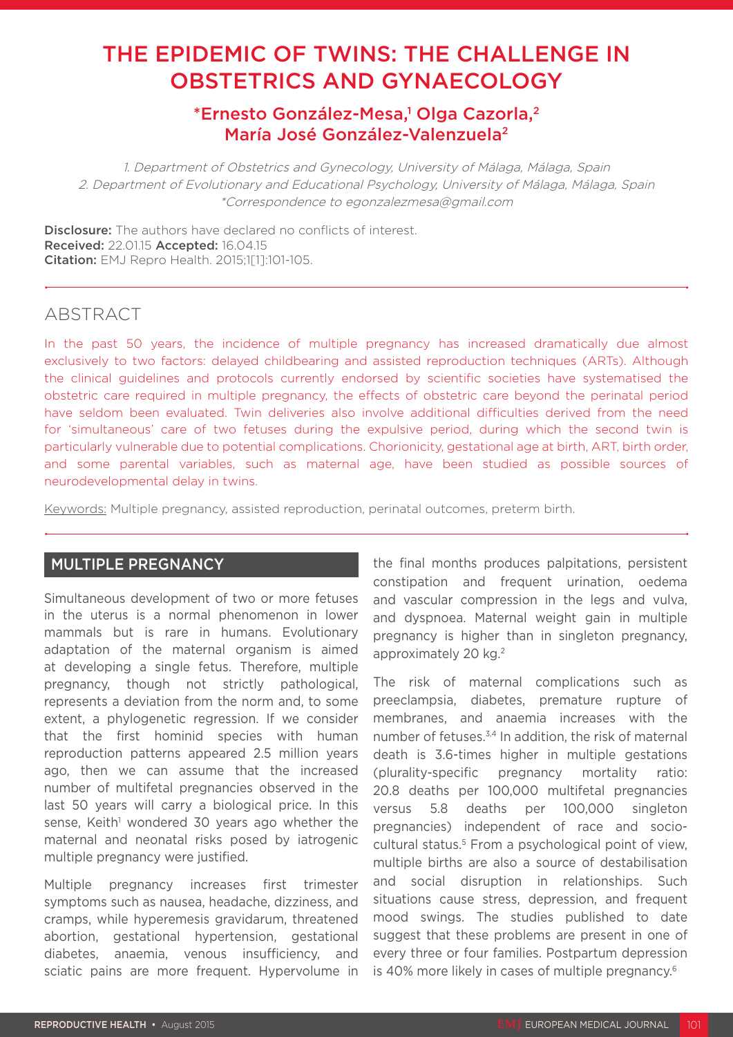# THE EPIDEMIC OF TWINS: THE CHALLENGE IN OBSTETRICS AND GYNAECOLOGY

## \*Ernesto González-Mesa,<sup>1</sup> Olga Cazorla,<sup>2</sup> María José González-Valenzuela2

1. Department of Obstetrics and Gynecology, University of Málaga, Málaga, Spain 2. Department of Evolutionary and Educational Psychology, University of Málaga, Málaga, Spain \*Correspondence to egonzalezmesa@gmail.com

**Disclosure:** The authors have declared no conflicts of interest. Received: 22.01.15 Accepted: 16.04.15 Citation: EMJ Repro Health. 2015;1[1]:101-105.

## ABSTRACT

In the past 50 years, the incidence of multiple pregnancy has increased dramatically due almost exclusively to two factors: delayed childbearing and assisted reproduction techniques (ARTs). Although the clinical guidelines and protocols currently endorsed by scientific societies have systematised the obstetric care required in multiple pregnancy, the effects of obstetric care beyond the perinatal period have seldom been evaluated. Twin deliveries also involve additional difficulties derived from the need for 'simultaneous' care of two fetuses during the expulsive period, during which the second twin is particularly vulnerable due to potential complications. Chorionicity, gestational age at birth, ART, birth order, and some parental variables, such as maternal age, have been studied as possible sources of neurodevelopmental delay in twins.

Keywords: Multiple pregnancy, assisted reproduction, perinatal outcomes, preterm birth.

### MULTIPLE PREGNANCY

Simultaneous development of two or more fetuses in the uterus is a normal phenomenon in lower mammals but is rare in humans. Evolutionary adaptation of the maternal organism is aimed at developing a single fetus. Therefore, multiple pregnancy, though not strictly pathological, represents a deviation from the norm and, to some extent, a phylogenetic regression. If we consider that the first hominid species with human reproduction patterns appeared 2.5 million years ago, then we can assume that the increased number of multifetal pregnancies observed in the last 50 years will carry a biological price. In this sense, Keith<sup>1</sup> wondered 30 years ago whether the maternal and neonatal risks posed by iatrogenic multiple pregnancy were justified.

Multiple pregnancy increases first trimester symptoms such as nausea, headache, dizziness, and cramps, while hyperemesis gravidarum, threatened abortion, gestational hypertension, gestational diabetes, anaemia, venous insufficiency, and sciatic pains are more frequent. Hypervolume in

the final months produces palpitations, persistent constipation and frequent urination, oedema and vascular compression in the legs and vulva, and dyspnoea. Maternal weight gain in multiple pregnancy is higher than in singleton pregnancy, approximately 20 kg.<sup>2</sup>

The risk of maternal complications such as preeclampsia, diabetes, premature rupture of membranes, and anaemia increases with the number of fetuses.<sup>3,4</sup> In addition, the risk of maternal death is 3.6-times higher in multiple gestations (plurality-specific pregnancy mortality ratio: 20.8 deaths per 100,000 multifetal pregnancies versus 5.8 deaths per 100,000 singleton pregnancies) independent of race and sociocultural status.<sup>5</sup> From a psychological point of view, multiple births are also a source of destabilisation and social disruption in relationships. Such situations cause stress, depression, and frequent mood swings. The studies published to date suggest that these problems are present in one of every three or four families. Postpartum depression is 40% more likely in cases of multiple pregnancy.6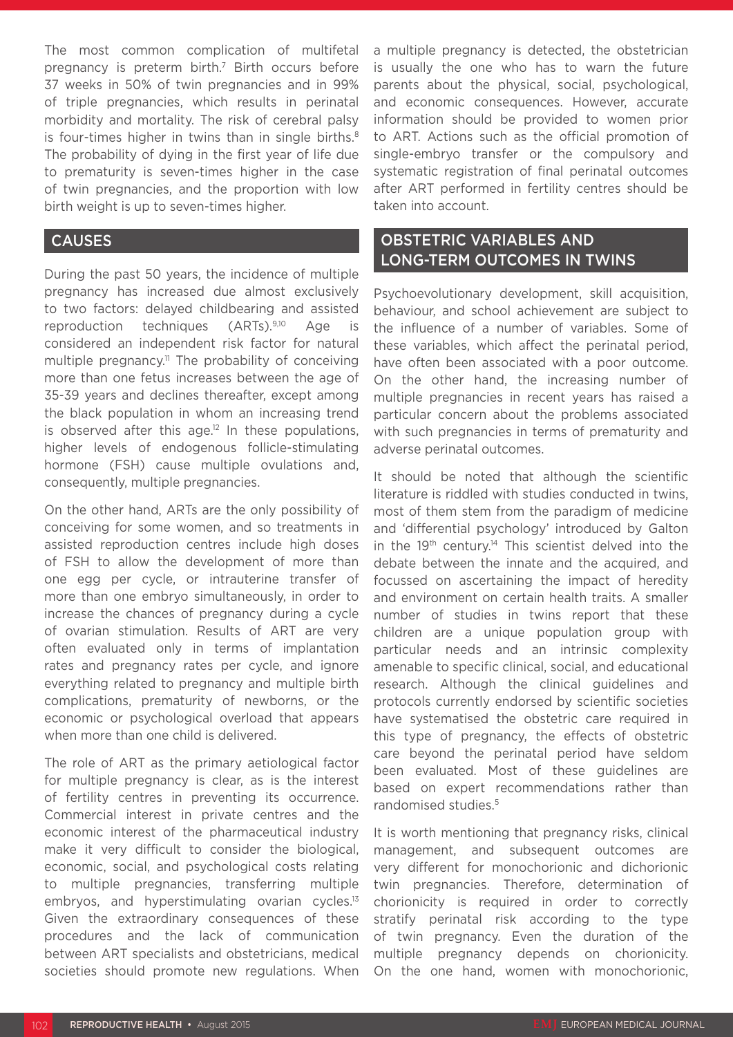The most common complication of multifetal pregnancy is preterm birth.7 Birth occurs before 37 weeks in 50% of twin pregnancies and in 99% of triple pregnancies, which results in perinatal morbidity and mortality. The risk of cerebral palsy is four-times higher in twins than in single births. $8$ The probability of dying in the first year of life due to prematurity is seven-times higher in the case of twin pregnancies, and the proportion with low birth weight is up to seven-times higher.

#### CAUSES

During the past 50 years, the incidence of multiple pregnancy has increased due almost exclusively to two factors: delayed childbearing and assisted reproduction techniques (ARTs).9,10 Age is considered an independent risk factor for natural multiple pregnancy.<sup>11</sup> The probability of conceiving more than one fetus increases between the age of 35-39 years and declines thereafter, except among the black population in whom an increasing trend is observed after this age.<sup>12</sup> In these populations, higher levels of endogenous follicle-stimulating hormone (FSH) cause multiple ovulations and, consequently, multiple pregnancies.

On the other hand, ARTs are the only possibility of conceiving for some women, and so treatments in assisted reproduction centres include high doses of FSH to allow the development of more than one egg per cycle, or intrauterine transfer of more than one embryo simultaneously, in order to increase the chances of pregnancy during a cycle of ovarian stimulation. Results of ART are very often evaluated only in terms of implantation rates and pregnancy rates per cycle, and ignore everything related to pregnancy and multiple birth complications, prematurity of newborns, or the economic or psychological overload that appears when more than one child is delivered.

The role of ART as the primary aetiological factor for multiple pregnancy is clear, as is the interest of fertility centres in preventing its occurrence. Commercial interest in private centres and the economic interest of the pharmaceutical industry make it very difficult to consider the biological, economic, social, and psychological costs relating to multiple pregnancies, transferring multiple embryos, and hyperstimulating ovarian cycles.<sup>13</sup> Given the extraordinary consequences of these procedures and the lack of communication between ART specialists and obstetricians, medical societies should promote new regulations. When

a multiple pregnancy is detected, the obstetrician is usually the one who has to warn the future parents about the physical, social, psychological, and economic consequences. However, accurate information should be provided to women prior to ART. Actions such as the official promotion of single-embryo transfer or the compulsory and systematic registration of final perinatal outcomes after ART performed in fertility centres should be taken into account.

## OBSTETRIC VARIABLES AND LONG-TERM OUTCOMES IN TWINS

Psychoevolutionary development, skill acquisition, behaviour, and school achievement are subject to the influence of a number of variables. Some of these variables, which affect the perinatal period, have often been associated with a poor outcome. On the other hand, the increasing number of multiple pregnancies in recent years has raised a particular concern about the problems associated with such pregnancies in terms of prematurity and adverse perinatal outcomes.

It should be noted that although the scientific literature is riddled with studies conducted in twins, most of them stem from the paradigm of medicine and 'differential psychology' introduced by Galton in the 19th century.14 This scientist delved into the debate between the innate and the acquired, and focussed on ascertaining the impact of heredity and environment on certain health traits. A smaller number of studies in twins report that these children are a unique population group with particular needs and an intrinsic complexity amenable to specific clinical, social, and educational research. Although the clinical guidelines and protocols currently endorsed by scientific societies have systematised the obstetric care required in this type of pregnancy, the effects of obstetric care beyond the perinatal period have seldom been evaluated. Most of these guidelines are based on expert recommendations rather than randomised studies.<sup>5</sup>

It is worth mentioning that pregnancy risks, clinical management, and subsequent outcomes are very different for monochorionic and dichorionic twin pregnancies. Therefore, determination of chorionicity is required in order to correctly stratify perinatal risk according to the type of twin pregnancy. Even the duration of the multiple pregnancy depends on chorionicity. On the one hand, women with monochorionic,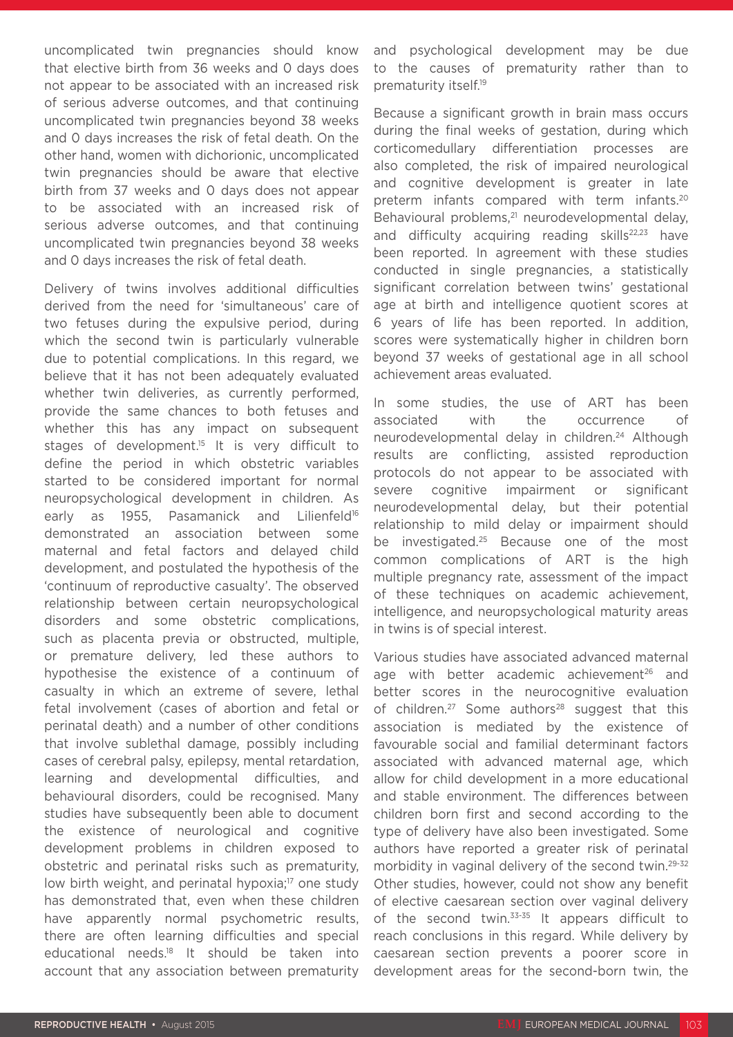uncomplicated twin pregnancies should know that elective birth from 36 weeks and 0 days does not appear to be associated with an increased risk of serious adverse outcomes, and that continuing uncomplicated twin pregnancies beyond 38 weeks and 0 days increases the risk of fetal death. On the other hand, women with dichorionic, uncomplicated twin pregnancies should be aware that elective birth from 37 weeks and 0 days does not appear to be associated with an increased risk of serious adverse outcomes, and that continuing uncomplicated twin pregnancies beyond 38 weeks and 0 days increases the risk of fetal death.

Delivery of twins involves additional difficulties derived from the need for 'simultaneous' care of two fetuses during the expulsive period, during which the second twin is particularly vulnerable due to potential complications. In this regard, we believe that it has not been adequately evaluated whether twin deliveries, as currently performed, provide the same chances to both fetuses and whether this has any impact on subsequent stages of development.<sup>15</sup> It is very difficult to define the period in which obstetric variables started to be considered important for normal neuropsychological development in children. As early as 1955, Pasamanick and Lilienfeld<sup>16</sup> demonstrated an association between some maternal and fetal factors and delayed child development, and postulated the hypothesis of the 'continuum of reproductive casualty'. The observed relationship between certain neuropsychological disorders and some obstetric complications, such as placenta previa or obstructed, multiple, or premature delivery, led these authors to hypothesise the existence of a continuum of casualty in which an extreme of severe, lethal fetal involvement (cases of abortion and fetal or perinatal death) and a number of other conditions that involve sublethal damage, possibly including cases of cerebral palsy, epilepsy, mental retardation, learning and developmental difficulties, and behavioural disorders, could be recognised. Many studies have subsequently been able to document the existence of neurological and cognitive development problems in children exposed to obstetric and perinatal risks such as prematurity, low birth weight, and perinatal hypoxia;<sup>17</sup> one study has demonstrated that, even when these children have apparently normal psychometric results, there are often learning difficulties and special educational needs.18 It should be taken into account that any association between prematurity

and psychological development may be due to the causes of prematurity rather than to prematurity itself.19

Because a significant growth in brain mass occurs during the final weeks of gestation, during which corticomedullary differentiation processes are also completed, the risk of impaired neurological and cognitive development is greater in late preterm infants compared with term infants.<sup>20</sup> Behavioural problems,<sup>21</sup> neurodevelopmental delay, and difficulty acquiring reading skills<sup>22,23</sup> have been reported. In agreement with these studies conducted in single pregnancies, a statistically significant correlation between twins' gestational age at birth and intelligence quotient scores at 6 years of life has been reported. In addition, scores were systematically higher in children born beyond 37 weeks of gestational age in all school achievement areas evaluated.

In some studies, the use of ART has been associated with the occurrence of neurodevelopmental delay in children.<sup>24</sup> Although results are conflicting, assisted reproduction protocols do not appear to be associated with severe cognitive impairment or significant neurodevelopmental delay, but their potential relationship to mild delay or impairment should be investigated.<sup>25</sup> Because one of the most common complications of ART is the high multiple pregnancy rate, assessment of the impact of these techniques on academic achievement, intelligence, and neuropsychological maturity areas in twins is of special interest.

Various studies have associated advanced maternal age with better academic achievement<sup>26</sup> and better scores in the neurocognitive evaluation of children.<sup>27</sup> Some authors<sup>28</sup> suggest that this association is mediated by the existence of favourable social and familial determinant factors associated with advanced maternal age, which allow for child development in a more educational and stable environment. The differences between children born first and second according to the type of delivery have also been investigated. Some authors have reported a greater risk of perinatal morbidity in vaginal delivery of the second twin.<sup>29-32</sup> Other studies, however, could not show any benefit of elective caesarean section over vaginal delivery of the second twin.<sup>33-35</sup> It appears difficult to reach conclusions in this regard. While delivery by caesarean section prevents a poorer score in development areas for the second-born twin, the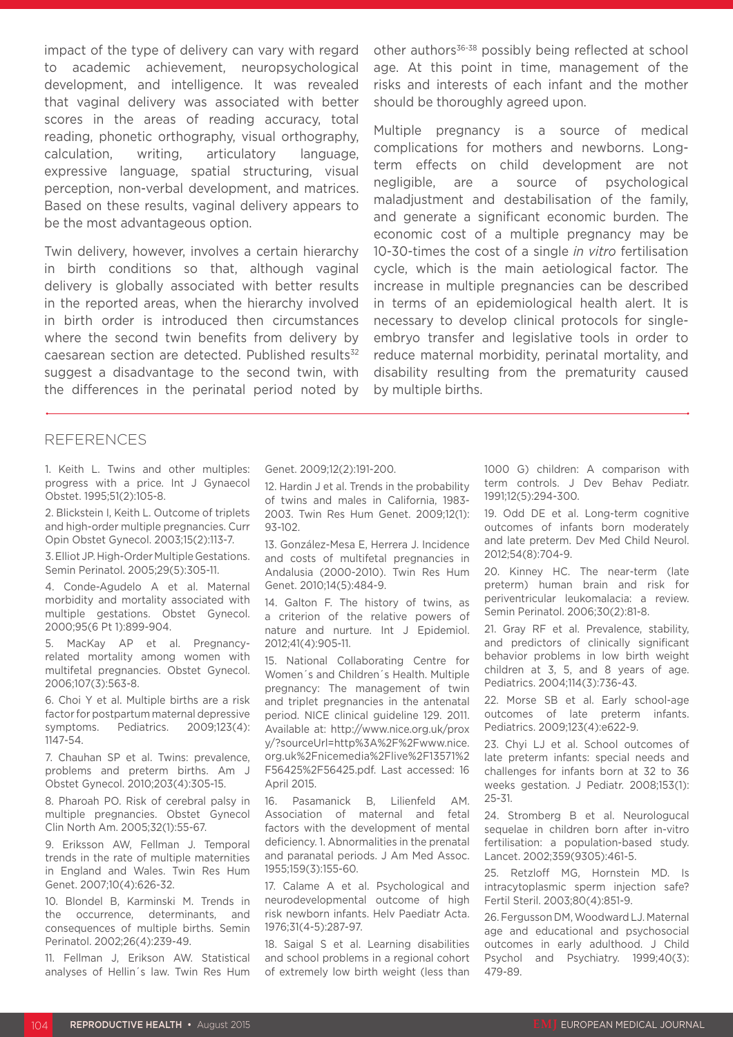impact of the type of delivery can vary with regard to academic achievement, neuropsychological development, and intelligence. It was revealed that vaginal delivery was associated with better scores in the areas of reading accuracy, total reading, phonetic orthography, visual orthography, calculation, writing, articulatory language, expressive language, spatial structuring, visual perception, non-verbal development, and matrices. Based on these results, vaginal delivery appears to be the most advantageous option.

Twin delivery, however, involves a certain hierarchy in birth conditions so that, although vaginal delivery is globally associated with better results in the reported areas, when the hierarchy involved in birth order is introduced then circumstances where the second twin benefits from delivery by caesarean section are detected. Published results<sup>32</sup> suggest a disadvantage to the second twin, with the differences in the perinatal period noted by

other authors<sup>36-38</sup> possibly being reflected at school age. At this point in time, management of the risks and interests of each infant and the mother should be thoroughly agreed upon.

Multiple pregnancy is a source of medical complications for mothers and newborns. Longterm effects on child development are not negligible, are a source of psychological maladjustment and destabilisation of the family, and generate a significant economic burden. The economic cost of a multiple pregnancy may be 10-30-times the cost of a single *in vitro* fertilisation cycle, which is the main aetiological factor. The increase in multiple pregnancies can be described in terms of an epidemiological health alert. It is necessary to develop clinical protocols for singleembryo transfer and legislative tools in order to reduce maternal morbidity, perinatal mortality, and disability resulting from the prematurity caused by multiple births.

#### REFERENCES

1. Keith L. Twins and other multiples: progress with a price. Int J Gynaecol Obstet. 1995;51(2):105-8.

2. Blickstein I, Keith L. Outcome of triplets and high-order multiple pregnancies. Curr Opin Obstet Gynecol. 2003;15(2):113-7.

3. Elliot JP. High-Order Multiple Gestations. Semin Perinatol. 2005;29(5):305-11.

4. Conde-Agudelo A et al. Maternal morbidity and mortality associated with multiple gestations. Obstet Gynecol. 2000;95(6 Pt 1):899-904.

5. MacKay AP et al. Pregnancyrelated mortality among women with multifetal pregnancies. Obstet Gynecol. 2006;107(3):563-8.

6. Choi Y et al. Multiple births are a risk factor for postpartum maternal depressive symptoms. Pediatrics. 2009;123(4): 1147-54.

7. Chauhan SP et al. Twins: prevalence, problems and preterm births. Am J Obstet Gynecol. 2010;203(4):305-15.

8. Pharoah PO. Risk of cerebral palsy in multiple pregnancies. Obstet Gynecol Clin North Am. 2005;32(1):55-67.

9. Eriksson AW, Fellman J. Temporal trends in the rate of multiple maternities in England and Wales. Twin Res Hum Genet. 2007;10(4):626-32.

10. Blondel B, Karminski M. Trends in the occurrence, determinants, and consequences of multiple births. Semin Perinatol. 2002;26(4):239-49.

11. Fellman J, Erikson AW. Statistical analyses of Hellin´s law. Twin Res Hum Genet. 2009;12(2):191-200.

12. Hardin J et al. Trends in the probability of twins and males in California, 1983- 2003. Twin Res Hum Genet. 2009;12(1): 93-102.

13. González-Mesa E, Herrera J. Incidence and costs of multifetal pregnancies in Andalusia (2000-2010). Twin Res Hum Genet. 2010;14(5):484-9.

14. Galton F. The history of twins, as a criterion of the relative powers of nature and nurture. Int J Epidemiol. 2012;41(4):905-11.

15. National Collaborating Centre for Women´s and Children´s Health. Multiple pregnancy: The management of twin and triplet pregnancies in the antenatal period. NICE clinical guideline 129. 2011. Available at: http://www.nice.org.uk/prox y/?sourceUrl=http%3A%2F%2Fwww.nice. org.uk%2Fnicemedia%2Flive%2F13571%2 F56425%2F56425.pdf. Last accessed: 16 April 2015.

16. Pasamanick B, Lilienfeld AM. Association of maternal and fetal factors with the development of mental deficiency. 1. Abnormalities in the prenatal and paranatal periods. J Am Med Assoc. 1955;159(3):155-60.

17. Calame A et al. Psychological and neurodevelopmental outcome of high risk newborn infants. Helv Paediatr Acta. 1976;31(4-5):287-97.

18. Saigal S et al. Learning disabilities and school problems in a regional cohort of extremely low birth weight (less than

1000 G) children: A comparison with term controls. J Dev Behav Pediatr. 1991;12(5):294-300.

19. Odd DE et al. Long-term cognitive outcomes of infants born moderately and late preterm. Dev Med Child Neurol. 2012;54(8):704-9.

20. Kinney HC. The near-term (late preterm) human brain and risk for periventricular leukomalacia: a review. Semin Perinatol. 2006;30(2):81-8.

21. Gray RF et al. Prevalence, stability, and predictors of clinically significant behavior problems in low birth weight children at 3, 5, and 8 years of age. Pediatrics. 2004;114(3):736-43.

22. Morse SB et al. Early school-age outcomes of late preterm infants. Pediatrics. 2009;123(4):e622-9.

23. Chyi LJ et al. School outcomes of late preterm infants: special needs and challenges for infants born at 32 to 36 weeks gestation. J Pediatr. 2008;153(1): 25-31.

24. Stromberg B et al. Neurologucal sequelae in children born after in-vitro fertilisation: a population-based study. Lancet. 2002;359(9305):461-5.

25. Retzloff MG, Hornstein MD. Is intracytoplasmic sperm injection safe? Fertil Steril. 2003;80(4):851-9.

26. Fergusson DM, Woodward LJ. Maternal age and educational and psychosocial outcomes in early adulthood. J Child Psychol and Psychiatry. 1999;40(3): 479-89.